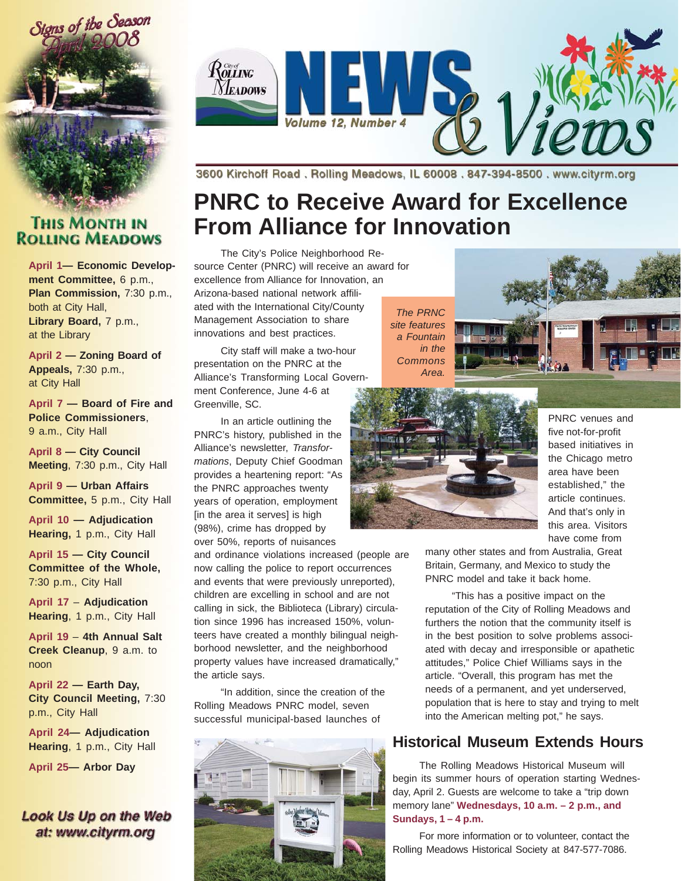

#### **THIS MONTH IN ROLLING MEADOWS**

**April 1— Economic Development Committee,** 6 p.m., Plan Commission, 7:30 p.m., both at City Hall, Library Board, 7 p.m., at the Library

**April 2 — Zoning Board of Appeals,** 7:30 p.m., at City Hall

**April 7 — Board of Fire and Police Commissioners**, 9 a.m., City Hall

**April 8 — City Council Meeting**, 7:30 p.m., City Hall

**April 9 — Urban Affairs Committee,** 5 p.m., City Hall

**April 10 — Adjudication Hearing,** 1 p.m., City Hall

**April 15 — City Council Committee of the Whole,** 7:30 p.m., City Hall

**April 17** – **Adjudication Hearing**, 1 p.m., City Hall

**April 19** – **4th Annual Salt Creek Cleanup**, 9 a.m. to noon

**April 22 — Earth Day, City Council Meeting,** 7:30 p.m., City Hall

**April 24— Adjudication Hearing**, 1 p.m., City Hall

**April 25— Arbor Day**

#### Look Us Up on the Web at: www.cityrm.org



3600 Kirchoff Road, Rolling Meadows, IL 60008, 847-394-8500, www.cityrm.org

# **PNRC to Receive Award for Excellence From Alliance for Innovation**

The City's Police Neighborhood Resource Center (PNRC) will receive an award for excellence from Alliance for Innovation, an Arizona-based national network affiliated with the International City/County Management Association to share innovations and best practices.

City staff will make a two-hour presentation on the PNRC at the Alliance's Transforming Local Government Conference, June 4-6 at Greenville, SC.

In an article outlining the PNRC's history, published in the Alliance's newsletter, *Transformations*, Deputy Chief Goodman provides a heartening report: "As the PNRC approaches twenty years of operation, employment [in the area it serves] is high (98%), crime has dropped by over 50%, reports of nuisances

and ordinance violations increased (people are now calling the police to report occurrences and events that were previously unreported), children are excelling in school and are not calling in sick, the Biblioteca (Library) circulation since 1996 has increased 150%, volunteers have created a monthly bilingual neighborhood newsletter, and the neighborhood property values have increased dramatically," the article says.

"In addition, since the creation of the Rolling Meadows PNRC model, seven successful municipal-based launches of



*The PRNC site features a Fountain in the Commons Area.*





PNRC venues and five not-for-profit based initiatives in the Chicago metro area have been established," the article continues. And that's only in this area. Visitors have come from

many other states and from Australia, Great Britain, Germany, and Mexico to study the PNRC model and take it back home.

"This has a positive impact on the reputation of the City of Rolling Meadows and furthers the notion that the community itself is in the best position to solve problems associated with decay and irresponsible or apathetic attitudes," Police Chief Williams says in the article. "Overall, this program has met the needs of a permanent, and yet underserved, population that is here to stay and trying to melt into the American melting pot," he says.

### **Historical Museum Extends Hours**

The Rolling Meadows Historical Museum will begin its summer hours of operation starting Wednesday, April 2. Guests are welcome to take a "trip down memory lane" **Wednesdays, 10 a.m. – 2 p.m., and Sundays, 1 – 4 p.m.**

For more information or to volunteer, contact the Rolling Meadows Historical Society at 847-577-7086.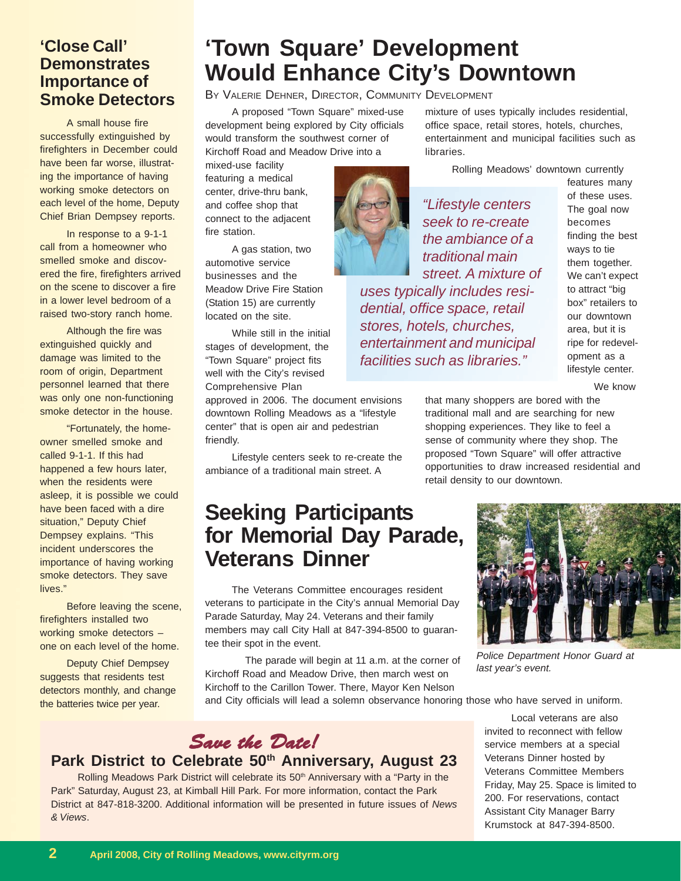#### **'Close Call' Demonstrates Importance of Smoke Detectors**

A small house fire successfully extinguished by firefighters in December could have been far worse, illustrating the importance of having working smoke detectors on each level of the home, Deputy Chief Brian Dempsey reports.

In response to a 9-1-1 call from a homeowner who smelled smoke and discovered the fire, firefighters arrived on the scene to discover a fire in a lower level bedroom of a raised two-story ranch home.

Although the fire was extinguished quickly and damage was limited to the room of origin, Department personnel learned that there was only one non-functioning smoke detector in the house.

"Fortunately, the homeowner smelled smoke and called 9-1-1. If this had happened a few hours later, when the residents were asleep, it is possible we could have been faced with a dire situation," Deputy Chief Dempsey explains. "This incident underscores the importance of having working smoke detectors. They save lives."

Before leaving the scene, firefighters installed two working smoke detectors – one on each level of the home.

Deputy Chief Dempsey suggests that residents test detectors monthly, and change the batteries twice per year.

# **'Town Square' Development Would Enhance City's Downtown**

BY VALERIE DEHNER, DIRECTOR, COMMUNITY DEVELOPMENT

A proposed "Town Square" mixed-use development being explored by City officials would transform the southwest corner of Kirchoff Road and Meadow Drive into a

mixed-use facility featuring a medical center, drive-thru bank, and coffee shop that connect to the adjacent fire station.

A gas station, two automotive service businesses and the Meadow Drive Fire Station (Station 15) are currently located on the site.

While still in the initial stages of development, the "Town Square" project fits well with the City's revised Comprehensive Plan

approved in 2006. The document envisions downtown Rolling Meadows as a "lifestyle center" that is open air and pedestrian friendly.

Lifestyle centers seek to re-create the ambiance of a traditional main street. A

## **Seeking Participants for Memorial Day Parade, Veterans Dinner**

The Veterans Committee encourages resident veterans to participate in the City's annual Memorial Day Parade Saturday, May 24. Veterans and their family members may call City Hall at 847-394-8500 to guarantee their spot in the event.

The parade will begin at 11 a.m. at the corner of Kirchoff Road and Meadow Drive, then march west on Kirchoff to the Carillon Tower. There, Mayor Ken Nelson

mixture of uses typically includes residential, office space, retail stores, hotels, churches, entertainment and municipal facilities such as libraries.

Rolling Meadows' downtown currently

*"Lifestyle centers seek to re-create the ambiance of a traditional main street. A mixture of*

*uses typically includes residential, office space, retail stores, hotels, churches, entertainment and municipal facilities such as libraries."*

features many of these uses. The goal now becomes finding the best ways to tie them together. We can't expect to attract "big box" retailers to our downtown area, but it is ripe for redevelopment as a lifestyle center.

We know

that many shoppers are bored with the traditional mall and are searching for new shopping experiences. They like to feel a sense of community where they shop. The proposed "Town Square" will offer attractive opportunities to draw increased residential and retail density to our downtown.



*Police Department Honor Guard at last year's event.*

and City officials will lead a solemn observance honoring those who have served in uniform.



### Park District to Celebrate 50<sup>th</sup> Anniversary, August 23

Rolling Meadows Park District will celebrate its 50<sup>th</sup> Anniversary with a "Party in the Park" Saturday, August 23, at Kimball Hill Park. For more information, contact the Park District at 847-818-3200. Additional information will be presented in future issues of *News & Views*.

Local veterans are also invited to reconnect with fellow service members at a special Veterans Dinner hosted by Veterans Committee Members Friday, May 25. Space is limited to 200. For reservations, contact Assistant City Manager Barry Krumstock at 847-394-8500.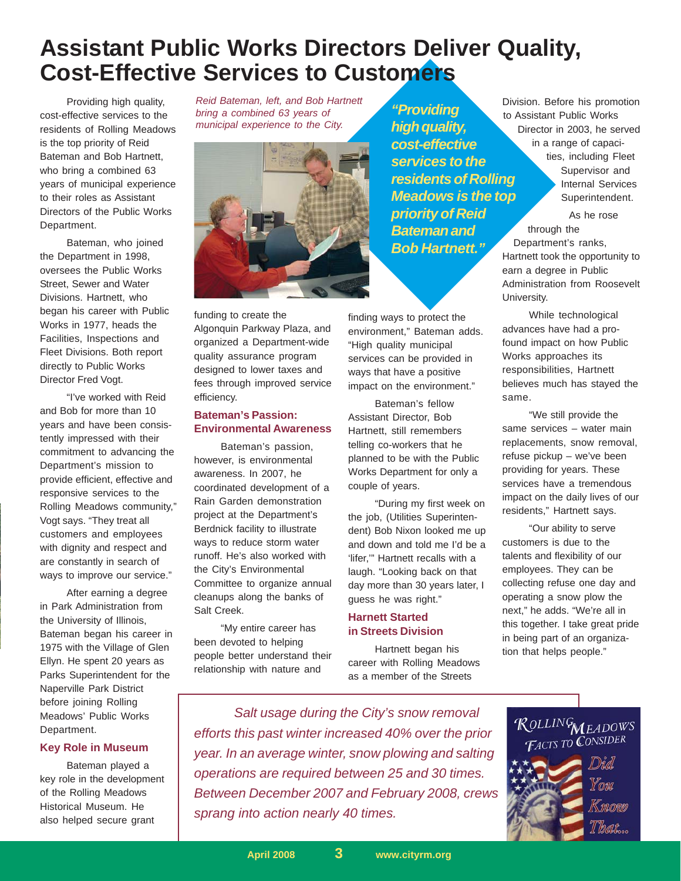## **Assistant Public Works Directors Deliver Quality, Cost-Effective Services to Customers**

Providing high quality, cost-effective services to the residents of Rolling Meadows is the top priority of Reid Bateman and Bob Hartnett, who bring a combined 63 years of municipal experience to their roles as Assistant Directors of the Public Works Department.

Bateman, who joined the Department in 1998, oversees the Public Works Street, Sewer and Water Divisions. Hartnett, who began his career with Public Works in 1977, heads the Facilities, Inspections and Fleet Divisions. Both report directly to Public Works Director Fred Vogt.

"I've worked with Reid and Bob for more than 10 years and have been consistently impressed with their commitment to advancing the Department's mission to provide efficient, effective and responsive services to the Rolling Meadows community," Vogt says. "They treat all customers and employees with dignity and respect and are constantly in search of ways to improve our service."

After earning a degree in Park Administration from the University of Illinois, Bateman began his career in 1975 with the Village of Glen Ellyn. He spent 20 years as Parks Superintendent for the Naperville Park District before joining Rolling Meadows' Public Works Department.

#### **Key Role in Museum**

Bateman played a key role in the development of the Rolling Meadows Historical Museum. He also helped secure grant

*Reid Bateman, left, and Bob Hartnett bring a combined 63 years of municipal experience to the City.*



funding to create the Algonquin Parkway Plaza, and organized a Department-wide quality assurance program designed to lower taxes and fees through improved service efficiency.

#### **Bateman's Passion: Environmental Awareness**

Bateman's passion, however, is environmental awareness. In 2007, he coordinated development of a Rain Garden demonstration project at the Department's Berdnick facility to illustrate ways to reduce storm water runoff. He's also worked with the City's Environmental Committee to organize annual cleanups along the banks of Salt Creek.

"My entire career has been devoted to helping people better understand their relationship with nature and

*"Providing high quality, cost-effective services to the residents of Rolling Meadows is the top priority of Reid Bateman and Bob Hartnett."*

finding ways to protect the environment," Bateman adds. "High quality municipal services can be provided in ways that have a positive impact on the environment."

Bateman's fellow Assistant Director, Bob Hartnett, still remembers telling co-workers that he planned to be with the Public Works Department for only a couple of years.

"During my first week on the job, (Utilities Superintendent) Bob Nixon looked me up and down and told me I'd be a 'lifer,'" Hartnett recalls with a laugh. "Looking back on that day more than 30 years later, I guess he was right."

#### **Harnett Started in Streets Division**

Hartnett began his career with Rolling Meadows as a member of the Streets

Division. Before his promotion to Assistant Public Works Director in 2003, he served in a range of capacities, including Fleet Supervisor and Internal Services Superintendent.

As he rose through the Department's ranks, Hartnett took the opportunity to earn a degree in Public Administration from Roosevelt University.

While technological advances have had a profound impact on how Public Works approaches its responsibilities, Hartnett believes much has stayed the same.

"We still provide the same services – water main replacements, snow removal, refuse pickup – we've been providing for years. These services have a tremendous impact on the daily lives of our residents," Hartnett says.

"Our ability to serve customers is due to the talents and flexibility of our employees. They can be collecting refuse one day and operating a snow plow the next," he adds. "We're all in this together. I take great pride in being part of an organization that helps people."

*Salt usage during the City's snow removal efforts this past winter increased 40% over the prior year. In an average winter, snow plowing and salting operations are required between 25 and 30 times. Between December 2007 and February 2008, crews sprang into action nearly 40 times.*

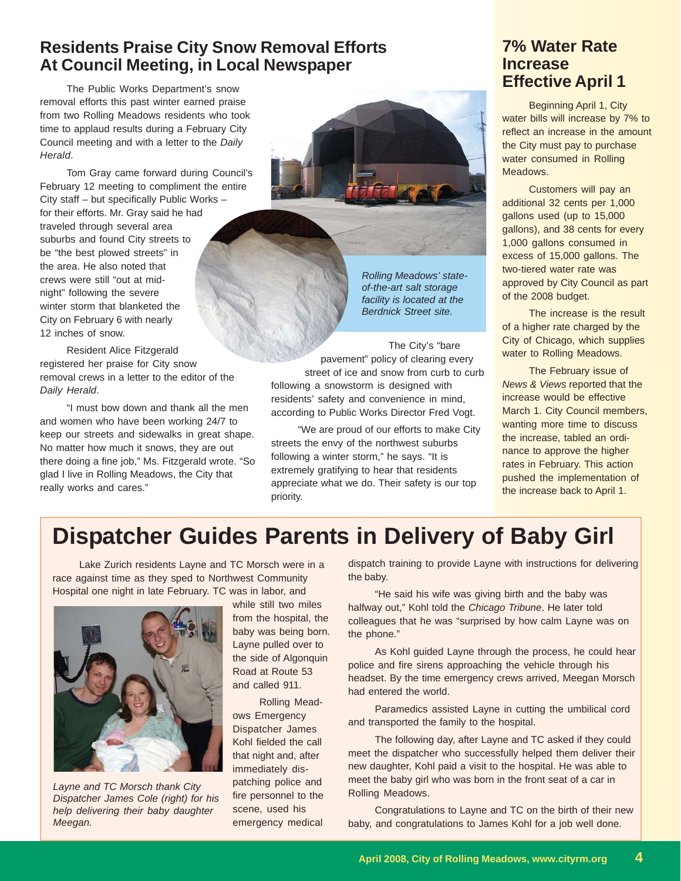### **Residents Praise City Snow Removal Efforts At Council Meeting, in Local Newspaper**

The Public Works Department's snow removal efforts this past winter earned praise from two Rolling Meadows residents who took time to applaud results during a February City Council meeting and with a letter to the *Daily Herald*.

Tom Gray came forward during Council's February 12 meeting to compliment the entire City staff – but specifically Public Works – for their efforts. Mr. Gray said he had traveled through several area suburbs and found City streets to be "the best plowed streets" in the area. He also noted that crews were still "out at midnight" following the severe winter storm that blanketed the City on February 6 with nearly 12 inches of snow.

Resident Alice Fitzgerald registered her praise for City snow removal crews in a letter to the editor of the *Daily Herald*.

"I must bow down and thank all the men and women who have been working 24/7 to keep our streets and sidewalks in great shape. No matter how much it snows, they are out there doing a fine job," Ms. Fitzgerald wrote. "So glad I live in Rolling Meadows, the City that really works and cares."



*Rolling Meadows' stateof-the-art salt storage facility is located at the Berdnick Street site.*

The City's "bare pavement" policy of clearing every street of ice and snow from curb to curb following a snowstorm is designed with residents' safety and convenience in mind, according to Public Works Director Fred Vogt.

"We are proud of our efforts to make City streets the envy of the northwest suburbs following a winter storm," he says. "It is extremely gratifying to hear that residents appreciate what we do. Their safety is our top priority.

### **7% Water Rate Increase Effective April 1**

Beginning April 1, City water bills will increase by 7% to reflect an increase in the amount the City must pay to purchase water consumed in Rolling Meadows.

Customers will pay an additional 32 cents per 1,000 gallons used (up to 15,000 gallons), and 38 cents for every 1,000 gallons consumed in excess of 15,000 gallons. The two-tiered water rate was approved by City Council as part of the 2008 budget.

The increase is the result of a higher rate charged by the City of Chicago, which supplies water to Rolling Meadows.

The February issue of *News & Views* reported that the increase would be effective March 1. City Council members, wanting more time to discuss the increase, tabled an ordinance to approve the higher rates in February. This action pushed the implementation of the increase back to April 1.

# **Dispatcher Guides Parents in Delivery of Baby Girl**

Lake Zurich residents Layne and TC Morsch were in a race against time as they sped to Northwest Community Hospital one night in late February. TC was in labor, and



*Layne and TC Morsch thank City Dispatcher James Cole (right) for his help delivering their baby daughter Meegan.*

while still two miles from the hospital, the baby was being born. Layne pulled over to the side of Algonquin Road at Route 53 and called 911.

Rolling Meadows Emergency Dispatcher James Kohl fielded the call that night and, after immediately dispatching police and fire personnel to the scene, used his emergency medical dispatch training to provide Layne with instructions for delivering the baby.

"He said his wife was giving birth and the baby was halfway out," Kohl told the *Chicago Tribune*. He later told colleagues that he was "surprised by how calm Layne was on the phone."

As Kohl guided Layne through the process, he could hear police and fire sirens approaching the vehicle through his headset. By the time emergency crews arrived, Meegan Morsch had entered the world.

Paramedics assisted Layne in cutting the umbilical cord and transported the family to the hospital.

The following day, after Layne and TC asked if they could meet the dispatcher who successfully helped them deliver their new daughter, Kohl paid a visit to the hospital. He was able to meet the baby girl who was born in the front seat of a car in Rolling Meadows.

Congratulations to Layne and TC on the birth of their new baby, and congratulations to James Kohl for a job well done.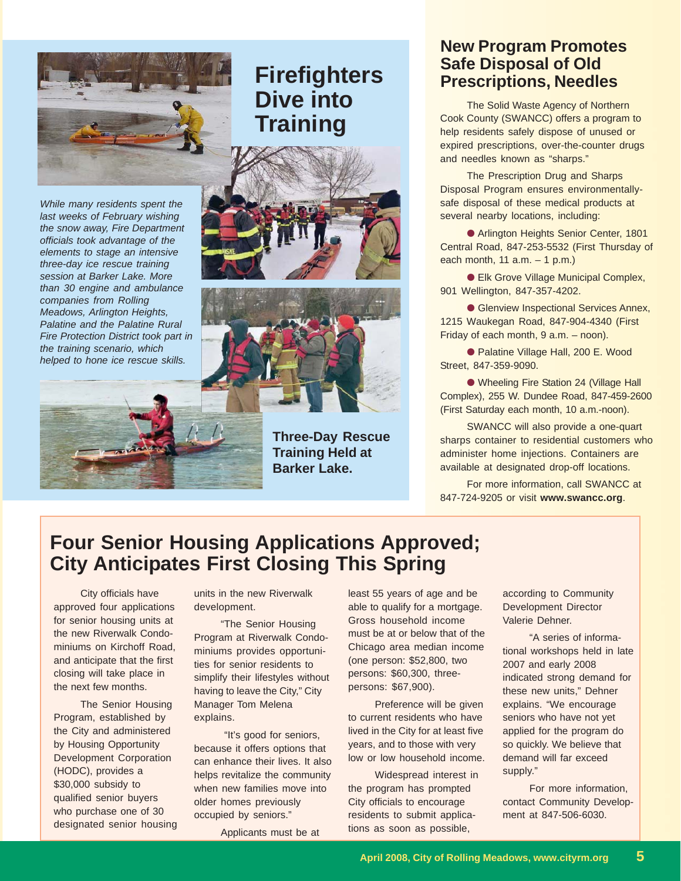

# **Firefighters Dive into Training**









**Three-Day Rescue Training Held at Barker Lake.**

### **New Program Promotes Safe Disposal of Old Prescriptions, Needles**

The Solid Waste Agency of Northern Cook County (SWANCC) offers a program to help residents safely dispose of unused or expired prescriptions, over-the-counter drugs and needles known as "sharps."

The Prescription Drug and Sharps Disposal Program ensures environmentallysafe disposal of these medical products at several nearby locations, including:

● Arlington Heights Senior Center, 1801 Central Road, 847-253-5532 (First Thursday of each month, 11 a.m. – 1 p.m.)

● Elk Grove Village Municipal Complex, 901 Wellington, 847-357-4202.

● Glenview Inspectional Services Annex, 1215 Waukegan Road, 847-904-4340 (First Friday of each month, 9 a.m. - noon).

● Palatine Village Hall, 200 E. Wood Street, 847-359-9090.

● Wheeling Fire Station 24 (Village Hall Complex), 255 W. Dundee Road, 847-459-2600 (First Saturday each month, 10 a.m.-noon).

SWANCC will also provide a one-quart sharps container to residential customers who administer home injections. Containers are available at designated drop-off locations.

For more information, call SWANCC at 847-724-9205 or visit **www.swancc.org**.

### **Four Senior Housing Applications Approved; City Anticipates First Closing This Spring**

City officials have approved four applications for senior housing units at the new Riverwalk Condominiums on Kirchoff Road, and anticipate that the first closing will take place in the next few months.

The Senior Housing Program, established by the City and administered by Housing Opportunity Development Corporation (HODC), provides a \$30,000 subsidy to qualified senior buyers who purchase one of 30 designated senior housing units in the new Riverwalk development.

"The Senior Housing Program at Riverwalk Condominiums provides opportunities for senior residents to simplify their lifestyles without having to leave the City," City Manager Tom Melena explains.

 "It's good for seniors, because it offers options that can enhance their lives. It also helps revitalize the community when new families move into older homes previously occupied by seniors."

Applicants must be at

least 55 years of age and be able to qualify for a mortgage. Gross household income must be at or below that of the Chicago area median income (one person: \$52,800, two persons: \$60,300, threepersons: \$67,900).

Preference will be given to current residents who have lived in the City for at least five years, and to those with very low or low household income.

Widespread interest in the program has prompted City officials to encourage residents to submit applications as soon as possible,

according to Community Development Director Valerie Dehner.

"A series of informational workshops held in late 2007 and early 2008 indicated strong demand for these new units," Dehner explains. "We encourage seniors who have not yet applied for the program do so quickly. We believe that demand will far exceed supply."

For more information, contact Community Development at 847-506-6030.